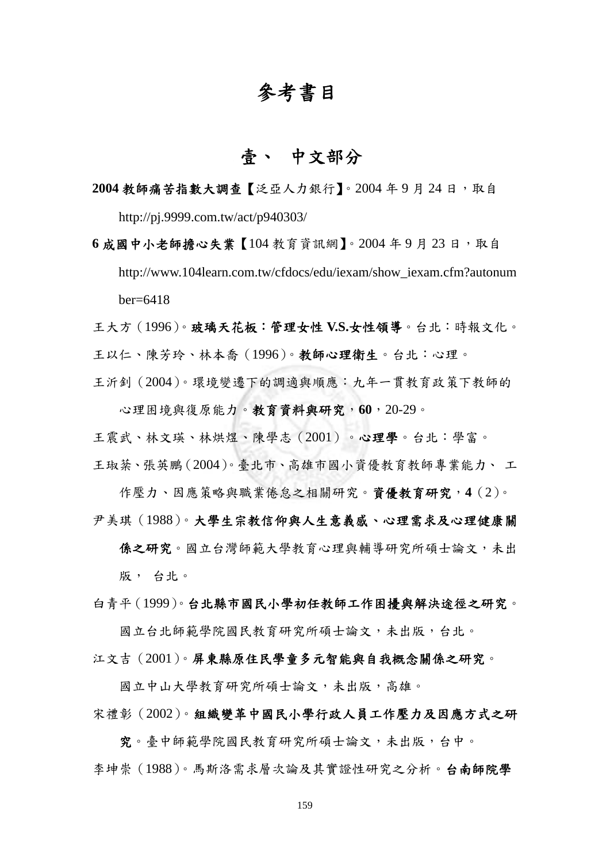## 參考書目

## 壹、 中文部分

2004 教師痛苦指數大調查【泛亞人力銀行】。2004年9月24日,取自 http://pj.9999.com.tw/act/p940303/

**6** 成國中小老師擔心失業【104 教育資訊網】。2004 年 9 月 23 日,取自 http://www.104learn.com.tw/cfdocs/edu/iexam/show\_iexam.cfm?autonum  $ber=6418$ 

王大方(1996)。玻璃天花板:管理女性 **V.S.**女性領導。台北:時報文化。

王以仁、陳芳玲、林本喬(1996)。教師心理衛生。台北:心理。

王沂釗(2004)。環境變遷下的調適與順應:九年一貫教育政策下教師的 心理困境與復原能力。教育資料與研究,**60**,20-29。

王震武、林文瑛、林烘煜、陳學志(2001)。心理學。台北:學富。 王琡棻、張英鵬(2004)。臺北市、高雄市國小資優教育教師專業能力、 工

作壓力、因應策略與職業倦怠之相關研究。資優教育研究,**4**(2)。 尹美琪(1988)。大學生宗教信仰與人生意義感、心理需求及心理健康關

係之研究。國立台灣師範大學教育心理與輔導研究所碩士論文,未出 版, 台北。

白青平(1999)。台北縣市國民小學初任教師工作困擾與解決途徑之研究。

國立台北師範學院國民教育研究所碩士論文,未出版,台北。

江文吉(2001)。屏東縣原住民學童多元智能與自我概念關係之研究。

國立中山大學教育研究所碩士論文,未出版,高雄。 宋禮彰(2002)。組織變革中國民小學行政人員工作壓力及因應方式之研

究。臺中師範學院國民教育研究所碩士論文,未出版,台中。 李坤崇(1988)。馬斯洛需求層次論及其實證性研究之分析。台南師院學

159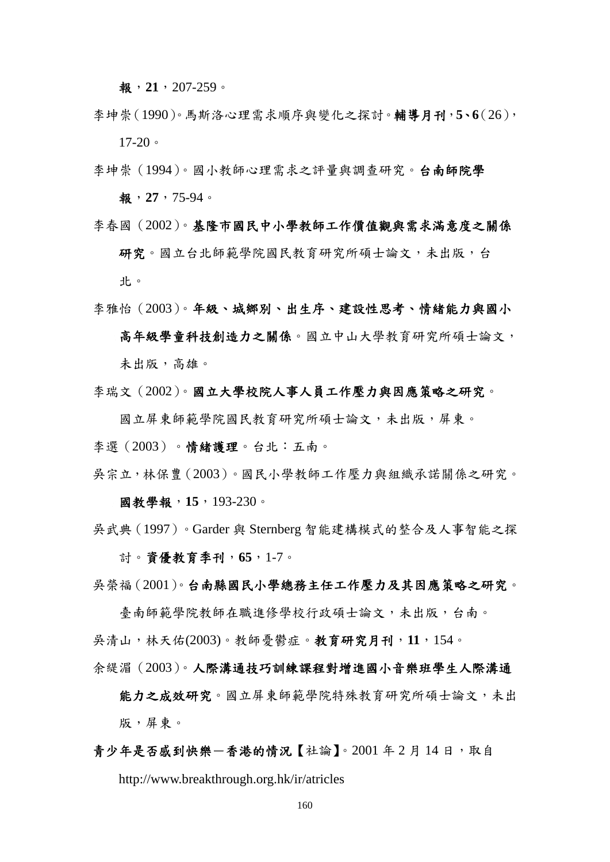報,**21**,207-259。

- 李坤崇(1990)。馬斯洛心理需求順序與變化之探討。輔導月刊,**5**、**6**(26),  $17-20$
- 李坤崇(1994)。國小教師心理需求之評量與調查研究。台南師院學 報,**27**,75-94。
- 李春國(2002)。基隆市國民中小學教師工作價值觀與需求滿意度之關係 研究。國立台北師範學院國民教育研究所碩士論文,未出版,台 北。
- 李雅怡(2003)。年級、城鄉別、出生序、建設性思考、情緒能力與國小 高年級學童科技創造力之關係。國立中山大學教育研究所碩士論文, 未出版,高雄。
- 李瑞文(2002)。國立大學校院人事人員工作壓力與因應策略之研究。

國立屏東師範學院國民教育研究所碩士論文,未出版,屏東。

李選(2003)。情緒護理。台北:五南。

吳宗立,林保豊(2003)。國民小學教師工作壓力與組織承諾關係之研究。

國教學報,**15**,193-230。

吳武典(1997)。Garder 與 Sternberg 智能建構模式的整合及人事智能之探 討。資優教育季刊,**65**,1-7。

吳榮福(2001)。台南縣國民小學總務主任工作壓力及其因應策略之研究。

臺南師範學院教師在職進修學校行政碩士論文,未出版,台南。 吳清山,林天佑(2003)。教師憂鬱症。教育研究月刊,**11**,154。

余緹湄(2003)。人際溝通技巧訓練課程對增進國小音樂班學生人際溝通

能力之成效研究。國立屏東師範學院特殊教育研究所碩士論文,未出 版,屏東。

## 青少年是否感到快樂一香港的情況【社論】。2001 年2 月 14 日, 取自

http://www.breakthrough.org.hk/ir/atricles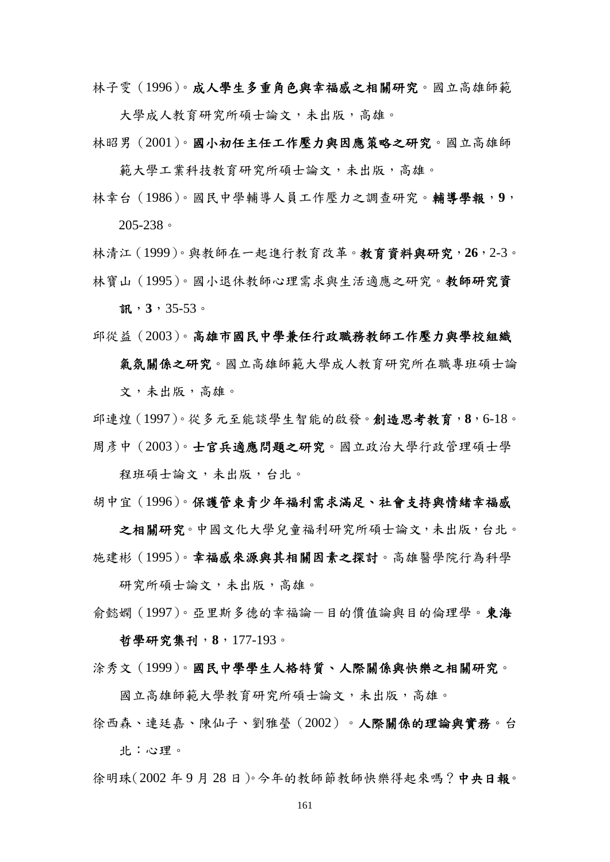林子雯(1996)。成人學生多重角色與幸福感之相關研究。國立高雄師範

大學成人教育研究所碩士論文,未出版,高雄。

林昭男(2001)。國小初任主任工作壓力與因應策略之研究。國立高雄師

範大學工業科技教育研究所碩士論文,未出版,高雄。

林幸台(1986)。國民中學輔導人員工作壓力之調查研究。輔導學報,**9**, 205-238。

林清江(1999)。與教師在一起進行教育改革。教育資料與研究,**26**,2-3。 林寶山(1995)。國小退休教師心理需求與生活適應之研究。教師研究資

訊,**3**,35-53。

邱從益(2003)。高雄市國民中學兼任行政職務教師工作壓力與學校組織

氣氛關係之研究。國立高雄師範大學成人教育研究所在職專班碩士論 文,未出版,高雄。

邱連煌(1997)。從多元至能談學生智能的啟發。創造思考教育,**8**,6-18。 周彥中(2003)。士官兵適應問題之研究。國立政治大學行政管理碩士學

程班碩士論文,未出版,台北。

胡中宜(1996)。保護管束青少年福利需求滿足、社會支持與情緒幸福感

之相關研究。中國文化大學兒童福利研究所碩士論文,未出版,台北。 施建彬(1995)。幸福感來源與其相關因素之探討。高雄醫學院行為科學

研究所碩士論文,未出版,高雄。

俞懿嫻 (1997)。亞里斯多德的幸福論一目的價值論與目的倫理學。東海 哲學研究集刊,**8**,177-193。

涂秀文(1999)。國民中學學生人格特質、人際關係與快樂之相關研究。

國立高雄師範大學教育研究所碩士論文,未出版,高雄。

徐西森、連廷嘉、陳仙子、劉雅瑩(2002)。人際關係的理論與實務。台 北:心理。

徐明珠(2002年9月28日)。今年的教師節教師快樂得起來嗎?中央日報。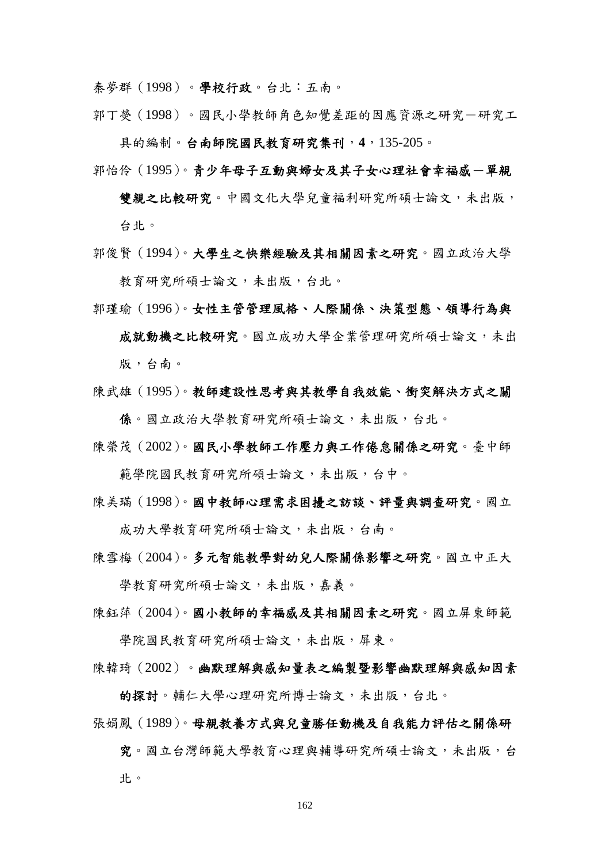秦夢群(1998)。學校行政。台北:五南。

郭丁熒(1998)。國民小學教師角色知覺差距的因應資源之研究一研究工

具的編制。台南師院國民教育研究集刊,**4**,135-205。

郭怡伶(1995)。青少年母子互動與婦女及其子女心理社會幸福感一單親

雙親之比較研究。中國文化大學兒童福利研究所碩士論文,未出版, 台北。

- 郭俊賢(1994)。大學生之快樂經驗及其相關因素之研究。國立政治大學 教育研究所碩士論文,未出版,台北。
- 郭瑾瑜(1996)。女性主管管理風格、人際關係、決策型態、領導行為與

成就動機之比較研究。國立成功大學企業管理研究所碩士論文,未出 版,台南。

陳武雄(1995)。教師建設性思考與其教學自我效能、衝突解決方式之關

係。國立政治大學教育研究所碩士論文,未出版,台北。

陳榮茂(2002)。國民小學教師工作壓力與工作倦怠關係之研究。臺中師

範學院國民教育研究所碩士論文,未出版,台中。

陳美璊(1998)。國中教師心理需求困擾之訪談、評量與調查研究。國立

成功大學教育研究所碩士論文,未出版,台南。

陳雪梅(2004)。多元智能教學對幼兒人際關係影響之研究。國立中正大

學教育研究所碩士論文,未出版,嘉義。

陳鈺萍(2004)。國小教師的幸福感及其相關因素之研究。國立屏東師範

學院國民教育研究所碩士論文,未出版,屏東。

陳韓琦(2002)。幽默理解與感知量表之編製暨影響幽默理解與感知因素

的探討。輔仁大學心理研究所博士論文,未出版,台北。

張娟鳳(1989)。母親教養方式與兒童勝任動機及自我能力評估之關係研

究。國立台灣師範大學教育心理與輔導研究所碩士論文,未出版,台 北。

162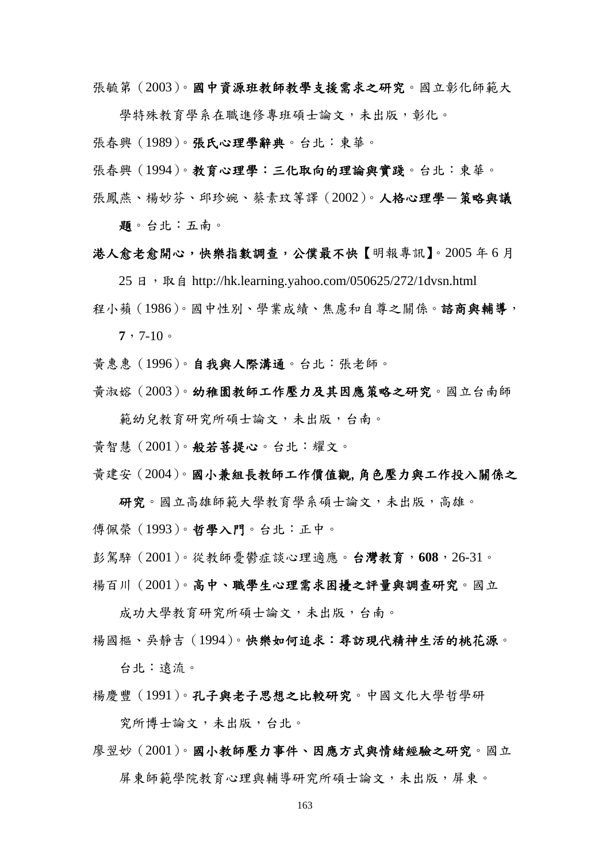張毓第(2003)。國中資源班教師教學支援需求之研究。國立彰化師範大

學特殊教育學系在職進修專班碩士論文,未出版,彰化。

張春興(1989)。張氏心理學辭典。台北:東華。

- 張春興(1994)。教育心理學:三化取向的理論與實踐。台北:東華。
- 張鳳燕、楊妙芬、邱珍婉、蔡素玟等譯(2002)。人格心理學一策略與議 題。台北:五南。

港人愈老愈開心,快樂指數調查,公僕最不快【明報專訊】。2005 年 6 月

 $25$  日, 取自 http://hk.learning.vahoo.com/050625/272/1dvsn.html

程小蘋(1986)。國中性別、學業成績、焦慮和自尊之關係。諮商與輔導,  $7, 7-10$ 

黃惠惠(1996)。自我與人際溝通。台北:張老師。

黃淑嫆(2003)。幼稚園教師工作壓力及其因應策略之研究。國立台南師

範幼兒教育研究所碩士論文,未出版,台南。

黃智慧(2001)。般若菩提心。台北:耀文。

黃建安(2004)。國小兼組長教師工作價值觀,角色壓力與工作投入關係之

研究。國立高雄師範大學教育學系碩士論文,未出版,高雄。 傅佩榮(1993)。哲學入門。台北:正中。

彭駕騂(2001)。從教師憂鬱症談心理適應。台灣教育,**608**,26-31。

楊百川(2001)。高中、職學生心理需求困擾之評量與調查研究。國立

成功大學教育研究所碩士論文,未出版,台南。

楊國樞、吳靜吉(1994)。快樂如何追求:尋訪現代精神生活的桃花源。

台北:遠流。

楊慶豐(1991)。孔子與老子思想之比較研究。中國文化大學哲學研

究所博士論文,未出版,台北。

## 廖翌妙(2001)。國小教師壓力事件、因應方式與情緒經驗之研究。國立

屏東師範學院教育心理與輔導研究所碩士論文,未出版,屏東。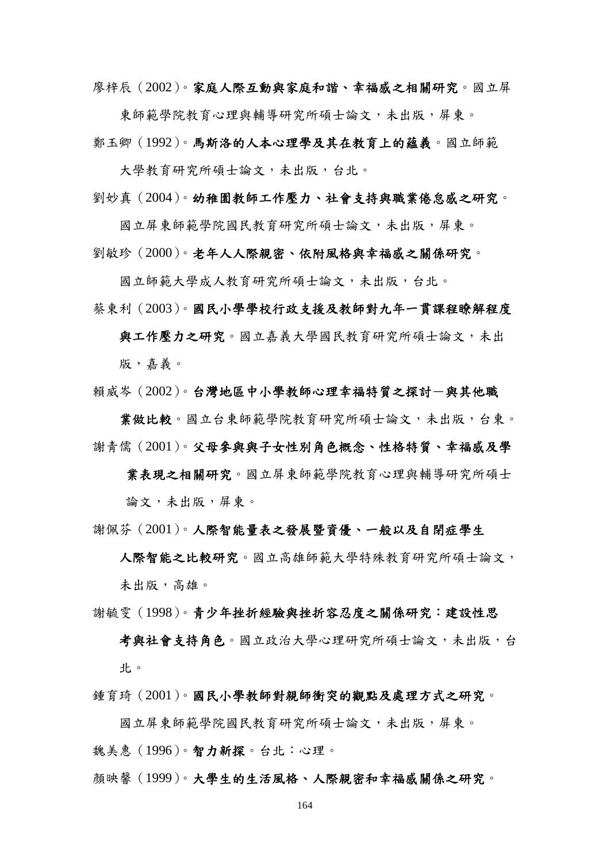廖梓辰(2002)。家庭人際互動與家庭和諧、幸福感之相關研究。國立屏

東師範學院教育心理與輔導研究所碩士論文,未出版,屏東。 鄭玉卿(1992)。馬斯洛的人本心理學及其在教育上的蘊義。國立師範

大學教育研究所碩士論文,未出版,台北。

劉妙真(2004)。幼稚園教師工作壓力、社會支持與職業倦怠感之研究。

國立屏東師範學院國民教育研究所碩士論文,未出版,屏東。

劉敏珍(2000)。老年人人際親密、依附風格與幸福感之關係研究。

國立師範大學成人教育研究所碩士論文,未出版,台北。

蔡東利(2003)。國民小學學校行政支援及教師對九年一貫課程瞭解程度

與工作壓力之研究。國立嘉義大學國民教育研究所碩士論文,未出 版,嘉義。

賴威岑(2002)。台灣地區中小學教師心理幸福特質之探討一與其他職

業做比較。國立台東師範學院教育研究所碩士論文,未出版,台東。 謝靑儒(2001)。父母參與與子女性別角色概念、性格特質、幸福感及學

業表現之相關研究。國立屏東師範學院教育心理與輔導研究所碩士 論文,未出版,屏東。

謝佩芬(2001)。人際智能量表之發展暨資優、一般以及自閉症學生

人際智能之比較研究。國立高雄師範大學特殊教育研究所碩士論文, 未出版,高雄。

謝毓雯(1998)。青少年挫折經驗與挫折容忍度之關係研究:建設性思

考與社會支持角色。國立政治大學心理研究所碩士論文,未出版,台 北。

鍾育琦(2001)。國民小學教師對親師衝突的觀點及處理方式之研究。

國立屏東師範學院國民教育研究所碩士論文,未出版,屏東。 魏美惠(1996)。智力新探。台北:心理。

顏映馨(1999)。大學生的生活風格、人際親密和幸福感關係之研究。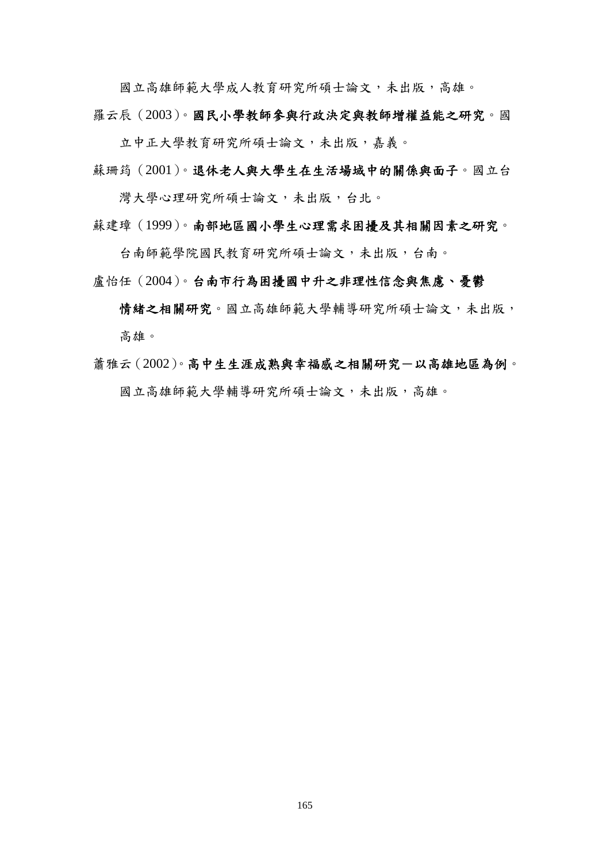國立高雄師範大學成人教育研究所碩士論文,未出版,高雄。

羅云辰(2003)。國民小學教師參與行政決定與教師增權益能之研究。國

立中正大學教育研究所碩士論文,未出版,嘉義。

蘇珊筠(2001)。退休老人與大學生在生活場域中的關係與面子。國立台

灣大學心理研究所碩士論文,未出版,台北。

蘇建璋(1999)。南部地區國小學生心理需求困擾及其相關因素之研究。

台南師範學院國民教育研究所碩士論文,未出版,台南。

盧怡任(2004)。台南市行為困擾國中升之非理性信念與焦慮、憂鬱

情緒之相關研究。國立高雄師範大學輔導研究所碩士論文,未出版, 高雄。

蕭雅云(2002)。高中生生涯成熟與幸福感之相關研究-以高雄地區為例。 國立高雄師範大學輔導研究所碩士論文,未出版,高雄。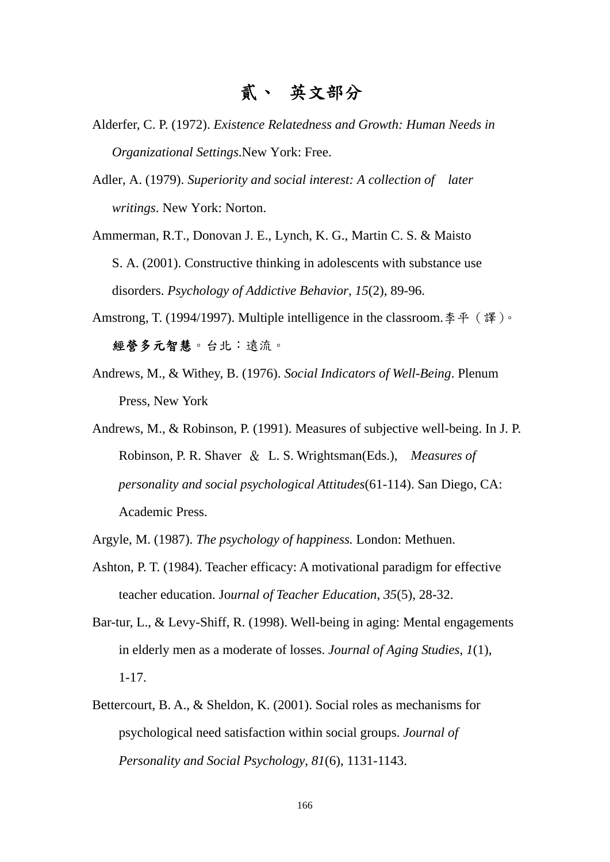- Alderfer, C. P. (1972). *Existence Relatedness and Growth: Human Needs in Organizational Settings*.New York: Free.
- Adler, A. (1979). *Superiority and social interest: A collection of later writings*. New York: Norton.

Ammerman, R.T., Donovan J. E., Lynch, K. G., Martin C. S. & Maisto S. A. (2001). Constructive thinking in adolescents with substance use disorders. *Psychology of Addictive Behavior*, *15*(2), 89-96.

- Amstrong, T. (1994/1997). Multiple intelligence in the classroom. 李平 (譯)。 經營多元智慧。台北:遠流。
- Andrews, M., & Withey, B. (1976). *Social Indicators of Well-Being*. Plenum Press, New York
- Andrews, M., & Robinson, P. (1991). Measures of subjective well-being. In J. P. Robinson, P. R. Shaver & L. S. Wrightsman(Eds.), *Measures of personality and social psychological Attitudes*(61-114). San Diego, CA: Academic Press.

Argyle, M. (1987). *The psychology of happiness.* London: Methuen.

- Ashton, P. T. (1984). Teacher efficacy: A motivational paradigm for effective teacher education. Jo*urnal of Teacher Education*, *35*(5), 28-32.
- Bar-tur, L., & Levy-Shiff, R. (1998). Well-being in aging: Mental engagements in elderly men as a moderate of losses. *Journal of Aging Studies*, *1*(1), 1-17.
- Bettercourt, B. A., & Sheldon, K. (2001). Social roles as mechanisms for psychological need satisfaction within social groups. *Journal of Personality and Social Psychology*, *81*(6), 1131-1143.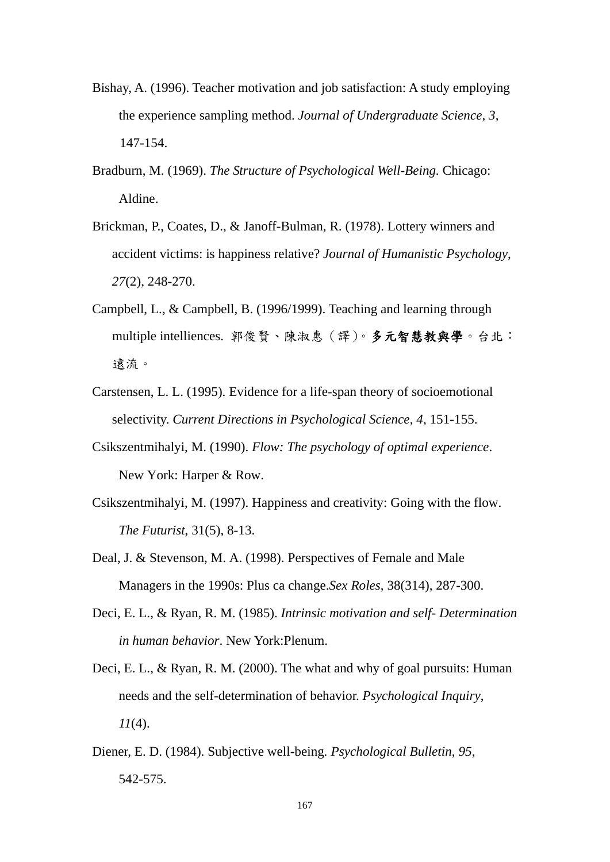- Bishay, A. (1996). Teacher motivation and job satisfaction: A study employing the experience sampling method. *Journal of Undergraduate Science*, *3*, 147-154.
- Bradburn, M. (1969). *The Structure of Psychological Well-Being.* Chicago: Aldine.
- Brickman, P., Coates, D., & Janoff-Bulman, R. (1978). Lottery winners and accident victims: is happiness relative? *Journal of Humanistic Psychology*, *27*(2), 248-270.
- Campbell, L., & Campbell, B. (1996/1999). Teaching and learning through multiple intelliences. 郭俊賢、陳淑惠(譯)。多元智慧教與學。台北: 遠流。
- Carstensen, L. L. (1995). Evidence for a life-span theory of socioemotional selectivity. *Current Directions in Psychological Science*, *4*, 151-155.
- Csikszentmihalyi, M. (1990). *Flow: The psychology of optimal experience*. New York: Harper & Row.
- Csikszentmihalyi, M. (1997). Happiness and creativity: Going with the flow. *The Futurist*, 31(5), 8-13.
- Deal, J. & Stevenson, M. A. (1998). Perspectives of Female and Male Managers in the 1990s: Plus ca change.*Sex Roles*, 38(314), 287-300.
- Deci, E. L., & Ryan, R. M. (1985). *Intrinsic motivation and self- Determination in human behavior*. New York:Plenum.
- Deci, E. L., & Ryan, R. M. (2000). The what and why of goal pursuits: Human needs and the self-determination of behavior. *Psychological Inquiry*, *11*(4).
- Diener, E. D. (1984). Subjective well-being*. Psychological Bulletin*, *95*, 542-575.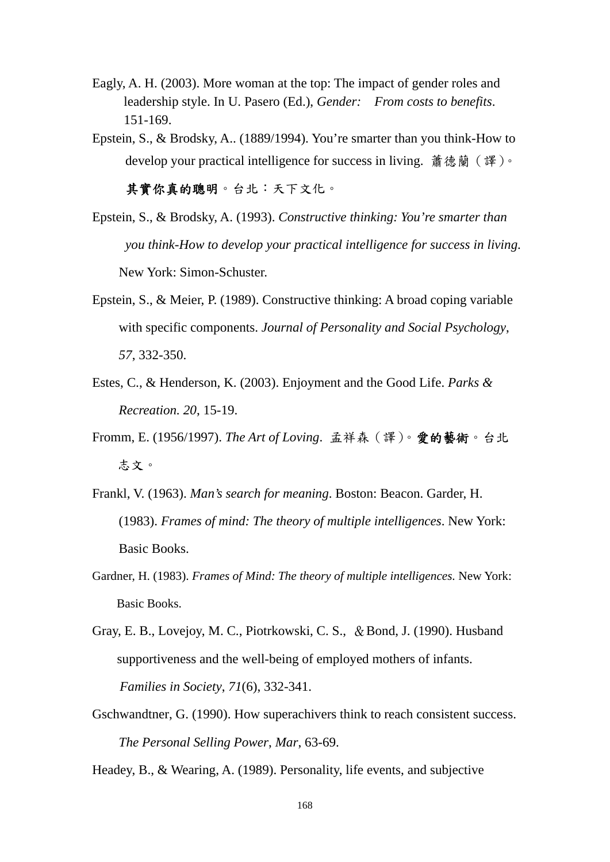- Eagly, A. H. (2003). More woman at the top: The impact of gender roles and leadership style. In U. Pasero (Ed.), *Gender: From costs to benefits*. 151-169.
- Epstein, S., & Brodsky, A.. (1889/1994). You're smarter than you think-How to develop your practical intelligence for success in living. 蕭德蘭 (譯)。

其實你真的聰明。台北:天下文化。

- Epstein, S., & Brodsky, A. (1993). *Constructive thinking: You're smarter than you think-How to develop your practical intelligence for success in living*. New York: Simon-Schuster.
- Epstein, S., & Meier, P. (1989). Constructive thinking: A broad coping variable with specific components. *Journal of Personality and Social Psychology*, *57*, 332-350.
- Estes, C., & Henderson, K. (2003). Enjoyment and the Good Life. *Parks & Recreation. 20*, 15-19.
- Fromm, E. (1956/1997). *The Art of Loving*. 孟祥森(譯)。愛的藝術。台北 志文。
- Frankl, V. (1963). *Man's search for meaning*. Boston: Beacon. Garder, H. (1983). *Frames of mind: The theory of multiple intelligences*. New York: Basic Books.
- Gardner, H. (1983). *Frames of Mind: The theory of multiple intelligences.* New York: Basic Books.
- Gray, E. B., Lovejoy, M. C., Piotrkowski, C. S., & Bond, J. (1990). Husband supportiveness and the well-being of employed mothers of infants. *Families in Society*, *71*(6), 332-341.
- Gschwandtner, G. (1990). How superachivers think to reach consistent success. *The Personal Selling Power*, *Mar*, 63-69.

Headey, B., & Wearing, A. (1989). Personality, life events, and subjective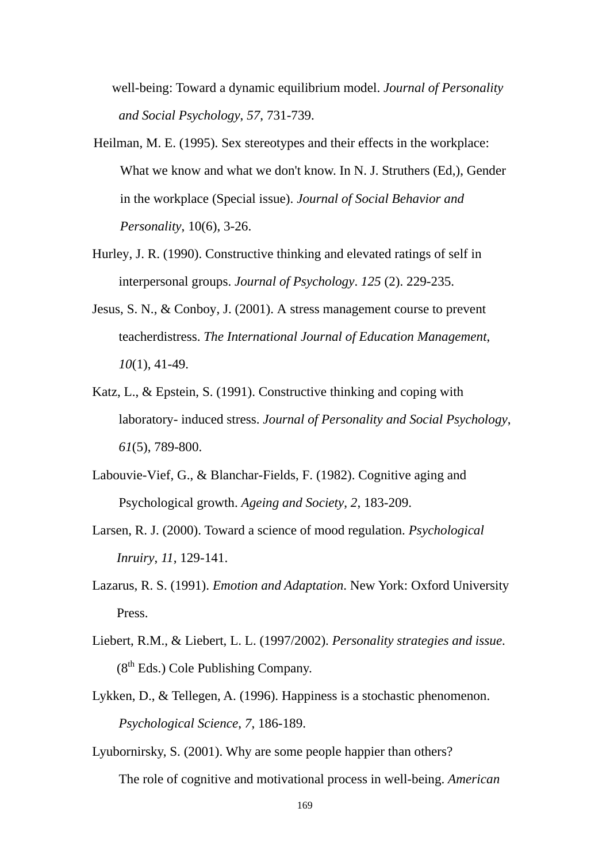well-being: Toward a dynamic equilibrium model. *Journal of Personality and Social Psychology*, *57*, 731-739.

- Heilman, M. E. (1995). Sex stereotypes and their effects in the workplace: What we know and what we don't know. In N. J. Struthers (Ed,), Gender in the workplace (Special issue). *Journal of Social Behavior and Personality*, 10(6), 3-26.
- Hurley, J. R. (1990). Constructive thinking and elevated ratings of self in interpersonal groups. *Journal of Psychology*. *125* (2). 229-235.
- Jesus, S. N., & Conboy, J. (2001). A stress management course to prevent teacherdistress. *The International Journal of Education Management*, *10*(1), 41-49.
- Katz, L., & Epstein, S. (1991). Constructive thinking and coping with laboratory- induced stress. *Journal of Personality and Social Psychology*, *61*(5), 789-800.
- Labouvie-Vief, G., & Blanchar-Fields, F. (1982). Cognitive aging and Psychological growth. *Ageing and Society*, *2*, 183-209.
- Larsen, R. J. (2000). Toward a science of mood regulation. *Psychological Inruiry*, *11*, 129-141.
- Lazarus, R. S. (1991). *Emotion and Adaptation*. New York: Oxford University Press.
- Liebert, R.M., & Liebert, L. L. (1997/2002). *Personality strategies and issue*.  $(8<sup>th</sup> Eds.)$  Cole Publishing Company.
- Lykken, D., & Tellegen, A. (1996). Happiness is a stochastic phenomenon. *Psychological Science*, *7*, 186-189.
- Lyubornirsky, S. (2001). Why are some people happier than others? The role of cognitive and motivational process in well-being. *American*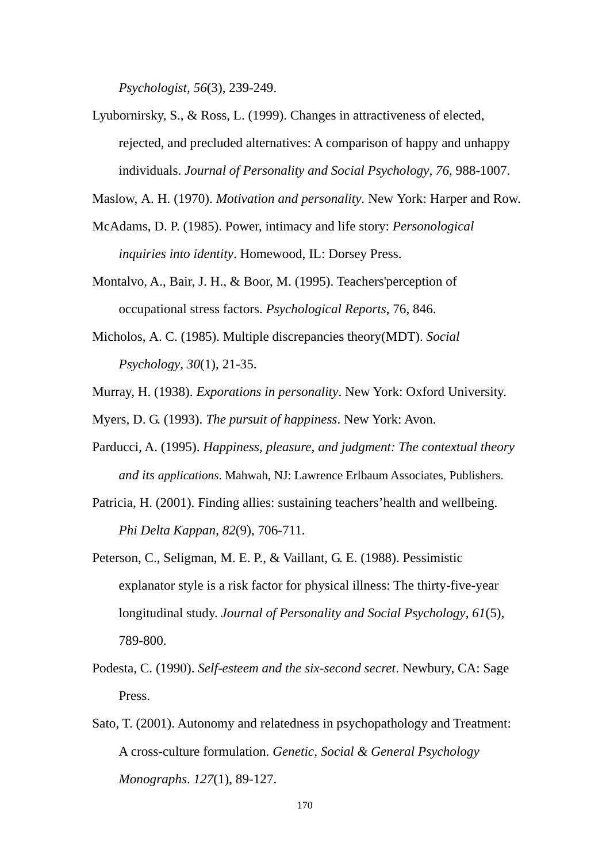*Psychologist, 56*(3), 239-249.

Lyubornirsky, S., & Ross, L. (1999). Changes in attractiveness of elected, rejected, and precluded alternatives: A comparison of happy and unhappy individuals. *Journal of Personality and Social Psychology*, *76*, 988-1007.

Maslow, A. H. (1970). *Motivation and personality*. New York: Harper and Row.

- McAdams, D. P. (1985). Power, intimacy and life story: *Personological inquiries into identity*. Homewood, IL: Dorsey Press.
- Montalvo, A., Bair, J. H., & Boor, M. (1995). Teachers'perception of occupational stress factors. *Psychological Reports*, 76, 846.
- Micholos, A. C. (1985). Multiple discrepancies theory(MDT). *Social Psychology*, *30*(1), 21-35.
- Murray, H. (1938). *Exporations in personality*. New York: Oxford University.
- Myers, D. G. (1993). *The pursuit of happiness*. New York: Avon.
- Parducci, A. (1995). *Happiness, pleasure, and judgment: The contextual theory and its applications*. Mahwah, NJ: Lawrence Erlbaum Associates, Publishers.
- Patricia, H. (2001). Finding allies: sustaining teachers'health and wellbeing. *Phi Delta Kappan*, *82*(9), 706-711.
- Peterson, C., Seligman, M. E. P., & Vaillant, G. E. (1988). Pessimistic explanator style is a risk factor for physical illness: The thirty-five-year longitudinal study. *Journal of Personality and Social Psychology*, *61*(5), 789-800.
- Podesta, C. (1990). *Self-esteem and the six-second secret*. Newbury, CA: Sage Press.
- Sato, T. (2001). Autonomy and relatedness in psychopathology and Treatment: A cross-culture formulation. *Genetic, Social & General Psychology Monographs*. *127*(1), 89-127.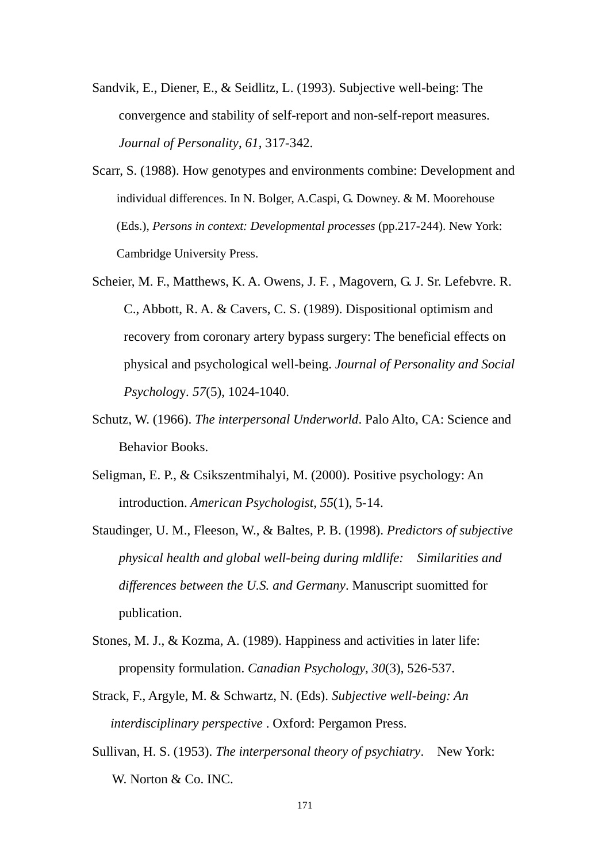- Sandvik, E., Diener, E., & Seidlitz, L. (1993). Subjective well-being: The convergence and stability of self-report and non-self-report measures. *Journal of Personality*, *61*, 317-342.
- Scarr, S. (1988). How genotypes and environments combine: Development and individual differences. In N. Bolger, A.Caspi, G. Downey. & M. Moorehouse (Eds.), *Persons in context: Developmental processes* (pp.217-244). New York: Cambridge University Press.
- Scheier, M. F., Matthews, K. A. Owens, J. F. , Magovern, G. J. Sr. Lefebvre. R. C., Abbott, R. A. & Cavers, C. S. (1989). Dispositional optimism and recovery from coronary artery bypass surgery: The beneficial effects on physical and psychological well-being. *Journal of Personality and Social Psycholog*y*. 57*(5), 1024-1040.
- Schutz, W. (1966). *The interpersonal Underworld*. Palo Alto, CA: Science and Behavior Books.
- Seligman, E. P., & Csikszentmihalyi, M. (2000). Positive psychology: An introduction. *American Psychologist, 55*(1), 5-14.
- Staudinger, U. M., Fleeson, W., & Baltes, P. B. (1998). *Predictors of subjective physical health and global well-being during mldlife: Similarities and differences between the U.S. and Germany*. Manuscript suomitted for publication.
- Stones, M. J., & Kozma, A. (1989). Happiness and activities in later life: propensity formulation. *Canadian Psychology*, *30*(3), 526-537.
- Strack, F., Argyle, M. & Schwartz, N. (Eds). *Subjective well-being: An interdisciplinary perspective* . Oxford: Pergamon Press.
- Sullivan, H. S. (1953). *The interpersonal theory of psychiatry*. New York: W. Norton & Co. INC.